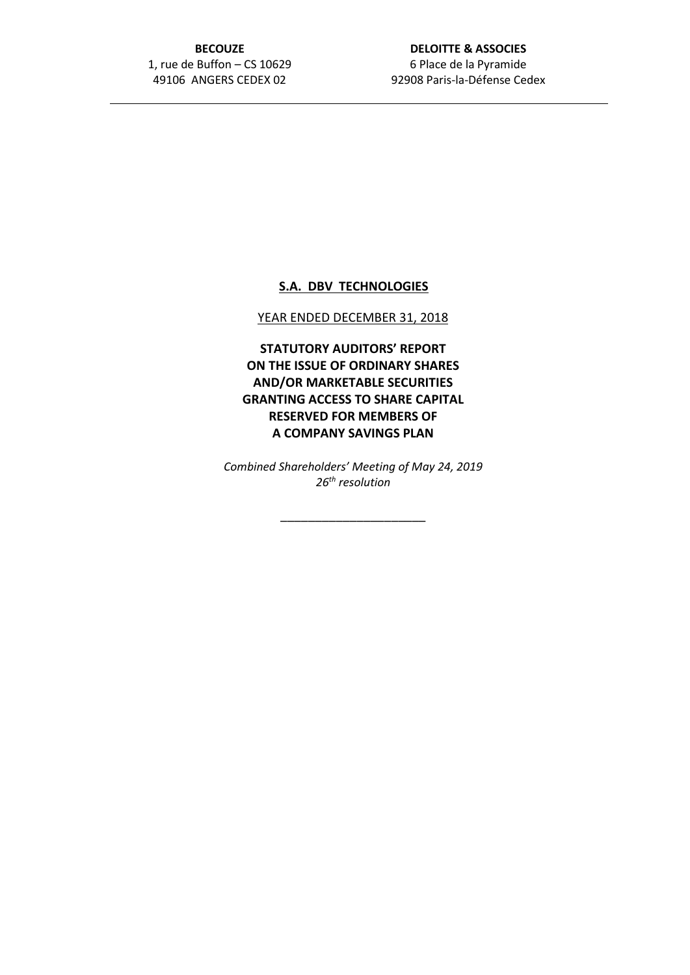# **BECOUZE** 1, rue de Buffon – CS 10629 49106 ANGERS CEDEX 02

# **DELOITTE & ASSOCIES** 6 Place de la Pyramide 92908 Paris-la-Défense Cedex

# **S.A. DBV TECHNOLOGIES**

#### YEAR ENDED DECEMBER 31, 2018

**STATUTORY AUDITORS' REPORT ON THE ISSUE OF ORDINARY SHARES AND/OR MARKETABLE SECURITIES GRANTING ACCESS TO SHARE CAPITAL RESERVED FOR MEMBERS OF A COMPANY SAVINGS PLAN**

*Combined Shareholders' Meeting of May 24, 2019 26th resolution*

\_\_\_\_\_\_\_\_\_\_\_\_\_\_\_\_\_\_\_\_\_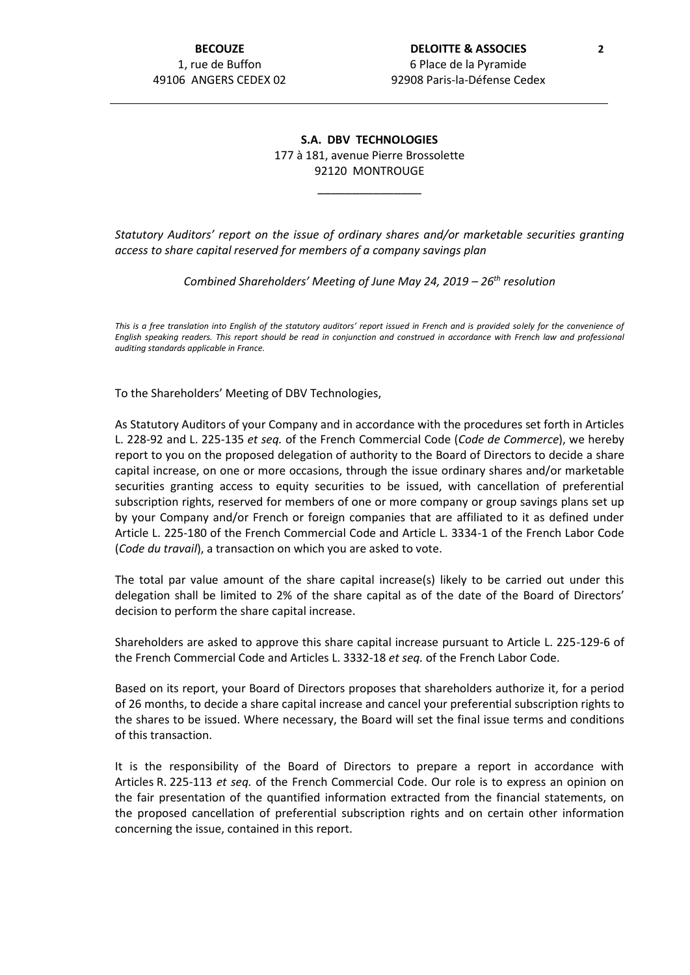### **S.A. DBV TECHNOLOGIES** 177 à 181, avenue Pierre Brossolette 92120 MONTROUGE

\_\_\_\_\_\_\_\_\_\_\_\_\_\_\_

*Statutory Auditors' report on the issue of ordinary shares and/or marketable securities granting access to share capital reserved for members of a company savings plan*

*Combined Shareholders' Meeting of June May 24, 2019 – 26th resolution*

*This is a free translation into English of the statutory auditors' report issued in French and is provided solely for the convenience of English speaking readers. This report should be read in conjunction and construed in accordance with French law and professional auditing standards applicable in France.*

To the Shareholders' Meeting of DBV Technologies,

As Statutory Auditors of your Company and in accordance with the procedures set forth in Articles L. 228-92 and L. 225-135 *et seq.* of the French Commercial Code (*Code de Commerce*), we hereby report to you on the proposed delegation of authority to the Board of Directors to decide a share capital increase, on one or more occasions, through the issue ordinary shares and/or marketable securities granting access to equity securities to be issued, with cancellation of preferential subscription rights, reserved for members of one or more company or group savings plans set up by your Company and/or French or foreign companies that are affiliated to it as defined under Article L. 225-180 of the French Commercial Code and Article L. 3334-1 of the French Labor Code (*Code du travail*), a transaction on which you are asked to vote.

The total par value amount of the share capital increase(s) likely to be carried out under this delegation shall be limited to 2% of the share capital as of the date of the Board of Directors' decision to perform the share capital increase.

Shareholders are asked to approve this share capital increase pursuant to Article L. 225-129-6 of the French Commercial Code and Articles L. 3332-18 *et seq.* of the French Labor Code.

Based on its report, your Board of Directors proposes that shareholders authorize it, for a period of 26 months, to decide a share capital increase and cancel your preferential subscription rights to the shares to be issued. Where necessary, the Board will set the final issue terms and conditions of this transaction.

It is the responsibility of the Board of Directors to prepare a report in accordance with Articles R. 225-113 *et seq.* of the French Commercial Code. Our role is to express an opinion on the fair presentation of the quantified information extracted from the financial statements, on the proposed cancellation of preferential subscription rights and on certain other information concerning the issue, contained in this report.